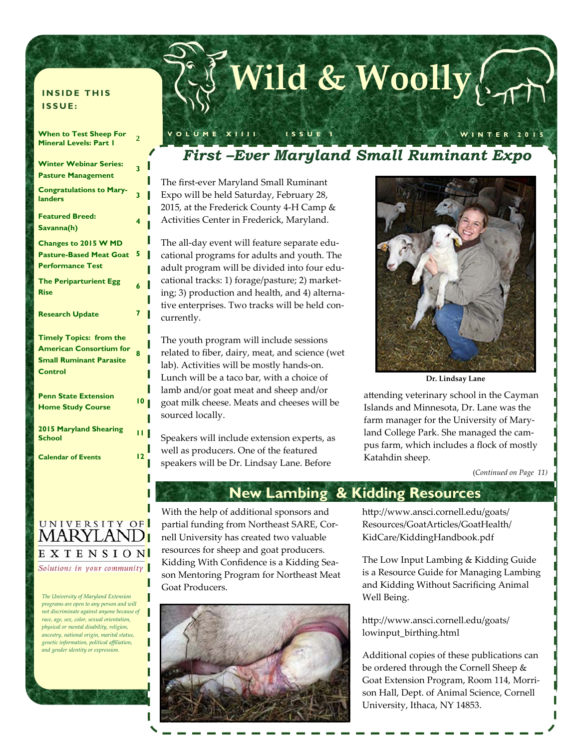### **INSIDE THIS ISSUE:**

| <b>When to Test Sheep For</b><br><b>Mineral Levels: Part I</b>                                                       | $\overline{2}$<br>l |
|----------------------------------------------------------------------------------------------------------------------|---------------------|
| <b>Winter Webinar Series:</b><br><b>Pasture Management</b>                                                           | 3                   |
| <b>Congratulations to Mary-</b><br>landers                                                                           | 3                   |
| <b>Featured Breed:</b><br>Savanna(h)                                                                                 | 4                   |
| Changes to 2015 W MD<br><b>Pasture-Based Meat Goat</b><br><b>Performance Test</b>                                    | 5                   |
| <b>The Periparturient Egg</b><br><b>Rise</b>                                                                         | 6                   |
| <b>Research Update</b>                                                                                               | 7                   |
| <b>Timely Topics: from the</b><br><b>American Consortium for</b><br><b>Small Ruminant Parasite</b><br><b>Control</b> | R                   |
|                                                                                                                      |                     |
| <b>Penn State Extension</b><br><b>Home Study Course</b>                                                              | 10                  |
| 2015 Maryland Shearing<br><b>School</b>                                                                              | п                   |

### UNIVERSITY OF MARYLAND<mark>i</mark> EXTENSION Solutions in your community

*The University of Maryland Extension programs are open to any person and will not discriminate against anyone because of race, age, sex, color, sexual orientation, physical or mental disability, religion, ancestry, national origin, marital status, genetic information, political affiliation, and gender identity or expression.* 

П

# **Wild & Woolly**

### *First –Ever Maryland Small Ruminant Expo*

**VOLUME XIIII ISSUE I WINTER 2015** 

The first‐ever Maryland Small Ruminant Expo will be held Saturday, February 28, 2015, at the Frederick County 4‐H Camp & Activities Center in Frederick, Maryland.

The all-day event will feature separate educational programs for adults and youth. The adult program will be divided into four edu‐ cational tracks: 1) forage/pasture; 2) market‐ ing; 3) production and health, and 4) alterna‐ tive enterprises. Two tracks will be held concurrently.

The youth program will include sessions related to fiber, dairy, meat, and science (wet lab). Activities will be mostly hands‐on. Lunch will be a taco bar, with a choice of lamb and/or goat meat and sheep and/or goat milk cheese. Meats and cheeses will be sourced locally.

Speakers will include extension experts, as well as producers. One of the featured speakers will be Dr. Lindsay Lane. Before



**Dr. Lindsay Lane** 

attending veterinary school in the Cayman Islands and Minnesota, Dr. Lane was the farm manager for the University of Mary‐ land College Park. She managed the cam‐ pus farm, which includes a flock of mostly Katahdin sheep.

(*Continued on Page 11)*

### **New Lambing & Kidding Resources**

With the help of additional sponsors and partial funding from Northeast SARE, Cor‐ nell University has created two valuable resources for sheep and goat producers. Kidding With Confidence is a Kidding Sea‐ son Mentoring Program for Northeast Meat Goat Producers.



http://www.ansci.cornell.edu/goats/ Resources/GoatArticles/GoatHealth/ KidCare/KiddingHandbook.pdf

The Low Input Lambing & Kidding Guide is a Resource Guide for Managing Lambing and Kidding Without Sacrificing Animal Well Being.

http://www.ansci.cornell.edu/goats/ lowinput\_birthing.html

Additional copies of these publications can be ordered through the Cornell Sheep & Goat Extension Program, Room 114, Morri‐ son Hall, Dept. of Animal Science, Cornell University, Ithaca, NY 14853.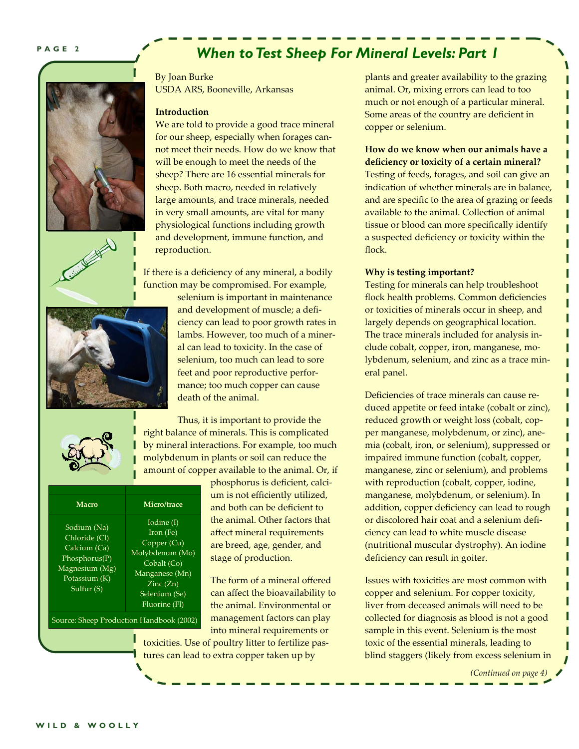### *When to Test Sheep For Mineral Levels: Part 1*



By Joan Burke USDA ARS, Booneville, Arkansas

#### **Introduction**

We are told to provide a good trace mineral for our sheep, especially when forages cannot meet their needs. How do we know that will be enough to meet the needs of the sheep? There are 16 essential minerals for sheep. Both macro, needed in relatively large amounts, and trace minerals, needed in very small amounts, are vital for many physiological functions including growth and development, immune function, and reproduction.

If there is a deficiency of any mineral, a bodily function may be compromised. For example,



selenium is important in maintenance and development of muscle; a defi‐ ciency can lead to poor growth rates in lambs. However, too much of a miner‐ al can lead to toxicity. In the case of selenium, too much can lead to sore feet and poor reproductive perfor‐ mance; too much copper can cause death of the animal.

Thus, it is important to provide the right balance of minerals. This is complicated by mineral interactions. For example, too much molybdenum in plants or soil can reduce the amount of copper available to the animal. Or, if

| Macro                                                                                                          | Micro/trace                                                                                                                                              |  |
|----------------------------------------------------------------------------------------------------------------|----------------------------------------------------------------------------------------------------------------------------------------------------------|--|
| Sodium (Na)<br>Chloride (Cl)<br>Calcium (Ca)<br>Phosphorus(P)<br>Magnesium (Mg)<br>Potassium (K)<br>Sulfur (S) | Iodine (I)<br>Iron (Fe)<br>Copper (Cu)<br>Molybdenum (Mo)<br>Cobalt (Co)<br>Manganese (Mn)<br>$\text{Zinc}(\text{Zn})$<br>Selenium (Se)<br>Fluorine (Fl) |  |
| Source: Sheep Production Handbook (2002)                                                                       |                                                                                                                                                          |  |

phosphorus is deficient, calci‐ um is not efficiently utilized, and both can be deficient to the animal. Other factors that affect mineral requirements are breed, age, gender, and stage of production.

The form of a mineral offered can affect the bioavailability to the animal. Environmental or management factors can play into mineral requirements or

toxicities. Use of poultry litter to fertilize pas‐ tures can lead to extra copper taken up by

plants and greater availability to the grazing animal. Or, mixing errors can lead to too much or not enough of a particular mineral. Some areas of the country are deficient in copper or selenium.

### **How do we know when our animals have a deficiency or toxicity of a certain mineral?**

Testing of feeds, forages, and soil can give an indication of whether minerals are in balance, and are specific to the area of grazing or feeds available to the animal. Collection of animal tissue or blood can more specifically identify a suspected deficiency or toxicity within the flock.

#### **Why is testing important?**

Testing for minerals can help troubleshoot flock health problems. Common deficiencies or toxicities of minerals occur in sheep, and largely depends on geographical location. The trace minerals included for analysis in‐ clude cobalt, copper, iron, manganese, mo‐ lybdenum, selenium, and zinc as a trace min‐ eral panel.

Deficiencies of trace minerals can cause reduced appetite or feed intake (cobalt or zinc), reduced growth or weight loss (cobalt, cop‐ per manganese, molybdenum, or zinc), ane‐ mia (cobalt, iron, or selenium), suppressed or impaired immune function (cobalt, copper, manganese, zinc or selenium), and problems with reproduction (cobalt, copper, iodine, manganese, molybdenum, or selenium). In addition, copper deficiency can lead to rough or discolored hair coat and a selenium defi‐ ciency can lead to white muscle disease (nutritional muscular dystrophy). An iodine deficiency can result in goiter.

Issues with toxicities are most common with copper and selenium. For copper toxicity, liver from deceased animals will need to be collected for diagnosis as blood is not a good sample in this event. Selenium is the most toxic of the essential minerals, leading to blind staggers (likely from excess selenium in

*(Continued on page 4)*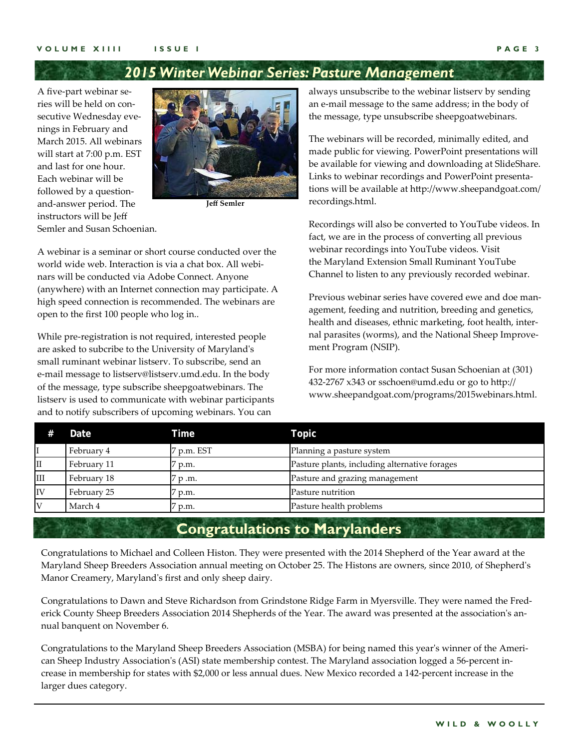### *2015 Winter Webinar Series: Pasture Management*

A five‐part webinar se‐ ries will be held on con‐ secutive Wednesday evenings in February and March 2015. All webinars will start at 7:00 p.m. EST and last for one hour. Each webinar will be followed by a question‐ and‐answer period. The instructors will be Jeff Semler and Susan Schoenian.



**Jeff Semler**

A webinar is a seminar or short course conducted over the world wide web. Interaction is via a chat box. All webinars will be conducted via Adobe Connect. Anyone (anywhere) with an Internet connection may participate. A high speed connection is recommended. The webinars are open to the first 100 people who log in..

While pre‐registration is not required, interested people are asked to subcribe to the University of Marylandʹs small ruminant webinar listserv. To subscribe, send an e‐mail message to listserv@listserv.umd.edu. In the body of the message, type subscribe sheepgoatwebinars. The listserv is used to communicate with webinar participants and to notify subscribers of upcoming webinars. You can

always unsubscribe to the webinar listserv by sending an e‐mail message to the same address; in the body of the message, type unsubscribe sheepgoatwebinars.

The webinars will be recorded, minimally edited, and made public for viewing. PowerPoint presentations will be available for viewing and downloading at SlideShare. Links to webinar recordings and PowerPoint presenta‐ tions will be available at http://www.sheepandgoat.com/ recordings.html.

Recordings will also be converted to YouTube videos. In fact, we are in the process of converting all previous webinar recordings into YouTube videos. Visit the Maryland Extension Small Ruminant YouTube Channel to listen to any previously recorded webinar.

Previous webinar series have covered ewe and doe man‐ agement, feeding and nutrition, breeding and genetics, health and diseases, ethnic marketing, foot health, inter‐ nal parasites (worms), and the National Sheep Improve‐ ment Program (NSIP).

For more information contact Susan Schoenian at (301) 432‐2767 x343 or sschoen@umd.edu or go to http:// www.sheepandgoat.com/programs/2015webinars.html.

| #   | Date        | Time           | Topic                                         |  |
|-----|-------------|----------------|-----------------------------------------------|--|
|     | February 4  | p.m. EST       | Planning a pasture system                     |  |
| II  | February 11 | p.m.           | Pasture plants, including alternative forages |  |
| III | February 18 | $\gamma$ p .m. | Pasture and grazing management                |  |
| IV  | February 25 | p.m.           | Pasture nutrition                             |  |
| IV  | March 4     | p.m.           | Pasture health problems                       |  |

### **Congratulations to Marylanders**

Congratulations to Michael and Colleen Histon. They were presented with the 2014 Shepherd of the Year award at the Maryland Sheep Breeders Association annual meeting on October 25. The Histons are owners, since 2010, of Shepherdʹs Manor Creamery, Maryland's first and only sheep dairy.

Congratulations to Dawn and Steve Richardson from Grindstone Ridge Farm in Myersville. They were named the Fred‐ erick County Sheep Breeders Association 2014 Shepherds of the Year. The award was presented at the association's annual banquent on November 6.

Congratulations to the Maryland Sheep Breeders Association (MSBA) for being named this year's winner of the American Sheep Industry Association's (ASI) state membership contest. The Maryland association logged a 56-percent increase in membership for states with \$2,000 or less annual dues. New Mexico recorded a 142‐percent increase in the larger dues category.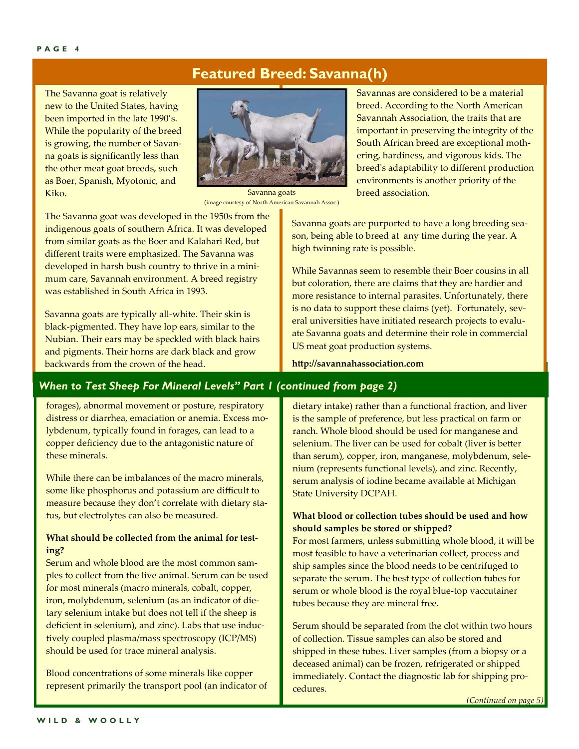### **Featured Breed: Savanna(h)**

The Savanna goat is relatively new to the United States, having been imported in the late 1990's. While the popularity of the breed is growing, the number of Savan‐ na goats is significantly less than the other meat goat breeds, such as Boer, Spanish, Myotonic, and Kiko.



Savanna goats (image courtesy of North American Savannah Assoc.)

The Savanna goat was developed in the 1950s from the indigenous goats of southern Africa. It was developed from similar goats as the Boer and Kalahari Red, but different traits were emphasized. The Savanna was developed in harsh bush country to thrive in a mini‐ mum care, Savannah environment. A breed registry was established in South Africa in 1993.

Savanna goats are typically all‐white. Their skin is black‐pigmented. They have lop ears, similar to the Nubian. Their ears may be speckled with black hairs and pigments. Their horns are dark black and grow backwards from the crown of the head.

Savannas are considered to be a material breed. According to the North American Savannah Association, the traits that are important in preserving the integrity of the South African breed are exceptional moth‐ ering, hardiness, and vigorous kids. The breed's adaptability to different production environments is another priority of the breed association.

Savanna goats are purported to have a long breeding sea‐ son, being able to breed at any time during the year. A high twinning rate is possible.

While Savannas seem to resemble their Boer cousins in all but coloration, there are claims that they are hardier and more resistance to internal parasites. Unfortunately, there is no data to support these claims (yet). Fortunately, several universities have initiated research projects to evalu‐ ate Savanna goats and determine their role in commercial US meat goat production systems.

**http://savannahassociation.com** 

### *When to Test Sheep For Mineral Levels" Part 1 (continued from page 2)*

forages), abnormal movement or posture, respiratory distress or diarrhea, emaciation or anemia. Excess mo‐ lybdenum, typically found in forages, can lead to a copper deficiency due to the antagonistic nature of these minerals.

While there can be imbalances of the macro minerals, some like phosphorus and potassium are difficult to measure because they don't correlate with dietary sta‐ tus, but electrolytes can also be measured.

### **What should be collected from the animal for testing?**

Serum and whole blood are the most common sam‐ ples to collect from the live animal. Serum can be used for most minerals (macro minerals, cobalt, copper, iron, molybdenum, selenium (as an indicator of die‐ tary selenium intake but does not tell if the sheep is deficient in selenium), and zinc). Labs that use induc‐ tively coupled plasma/mass spectroscopy (ICP/MS) should be used for trace mineral analysis.

Blood concentrations of some minerals like copper represent primarily the transport pool (an indicator of dietary intake) rather than a functional fraction, and liver is the sample of preference, but less practical on farm or ranch. Whole blood should be used for manganese and selenium. The liver can be used for cobalt (liver is better than serum), copper, iron, manganese, molybdenum, sele‐ nium (represents functional levels), and zinc. Recently, serum analysis of iodine became available at Michigan State University DCPAH.

### **What blood or collection tubes should be used and how should samples be stored or shipped?**

For most farmers, unless submitting whole blood, it will be most feasible to have a veterinarian collect, process and ship samples since the blood needs to be centrifuged to separate the serum. The best type of collection tubes for serum or whole blood is the royal blue-top vaccutainer tubes because they are mineral free.

Serum should be separated from the clot within two hours of collection. Tissue samples can also be stored and shipped in these tubes. Liver samples (from a biopsy or a deceased animal) can be frozen, refrigerated or shipped immediately. Contact the diagnostic lab for shipping procedures.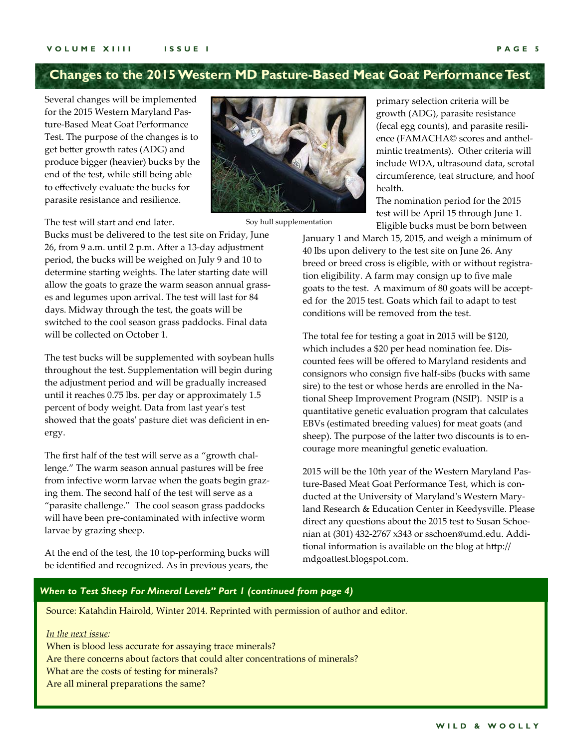### **Changes to the 2015 Western MD Pasture-Based Meat Goat Performance Test**

Several changes will be implemented for the 2015 Western Maryland Pas‐ ture‐Based Meat Goat Performance Test. The purpose of the changes is to get better growth rates (ADG) and produce bigger (heavier) bucks by the end of the test, while still being able to effectively evaluate the bucks for parasite resistance and resilience.



Soy hull supplementation

primary selection criteria will be growth (ADG), parasite resistance (fecal egg counts), and parasite resili‐ ence (FAMACHA© scores and anthel‐ mintic treatments). Other criteria will include WDA, ultrasound data, scrotal circumference, teat structure, and hoof health.

The nomination period for the 2015 test will be April 15 through June 1. Eligible bucks must be born between

January 1 and March 15, 2015, and weigh a minimum of 40 lbs upon delivery to the test site on June 26. Any breed or breed cross is eligible, with or without registra‐ tion eligibility. A farm may consign up to five male goats to the test. A maximum of 80 goats will be accepted for the 2015 test. Goats which fail to adapt to test conditions will be removed from the test.

The total fee for testing a goat in 2015 will be \$120, which includes a \$20 per head nomination fee. Dis‐ counted fees will be offered to Maryland residents and consignors who consign five half‐sibs (bucks with same sire) to the test or whose herds are enrolled in the Na‐ tional Sheep Improvement Program (NSIP). NSIP is a quantitative genetic evaluation program that calculates EBVs (estimated breeding values) for meat goats (and sheep). The purpose of the latter two discounts is to encourage more meaningful genetic evaluation.

2015 will be the 10th year of the Western Maryland Pas‐ ture‐Based Meat Goat Performance Test, which is con‐ ducted at the University of Maryland's Western Maryland Research & Education Center in Keedysville. Please direct any questions about the 2015 test to Susan Schoe‐ nian at (301) 432‐2767 x343 or sschoen@umd.edu. Addi‐ tional information is available on the blog at http:// mdgoattest.blogspot.com.

#### The test will start and end later.

Bucks must be delivered to the test site on Friday, June 26, from 9 a.m. until 2 p.m. After a 13‐day adjustment period, the bucks will be weighed on July 9 and 10 to determine starting weights. The later starting date will allow the goats to graze the warm season annual grasses and legumes upon arrival. The test will last for 84 days. Midway through the test, the goats will be switched to the cool season grass paddocks. Final data will be collected on October 1.

The test bucks will be supplemented with soybean hulls throughout the test. Supplementation will begin during the adjustment period and will be gradually increased until it reaches 0.75 lbs. per day or approximately 1.5 percent of body weight. Data from last year's test showed that the goats' pasture diet was deficient in energy.

The first half of the test will serve as a "growth challenge." The warm season annual pastures will be free from infective worm larvae when the goats begin grazing them. The second half of the test will serve as a "parasite challenge." The cool season grass paddocks will have been pre‐contaminated with infective worm larvae by grazing sheep.

At the end of the test, the 10 top-performing bucks will be identified and recognized. As in previous years, the

### *When to Test Sheep For Mineral Levels" Part 1 (continued from page 4)*

Source: Katahdin Hairold, Winter 2014. Reprinted with permission of author and editor.

#### *In the next issue:*

When is blood less accurate for assaying trace minerals? Are there concerns about factors that could alter concentrations of minerals? What are the costs of testing for minerals? Are all mineral preparations the same?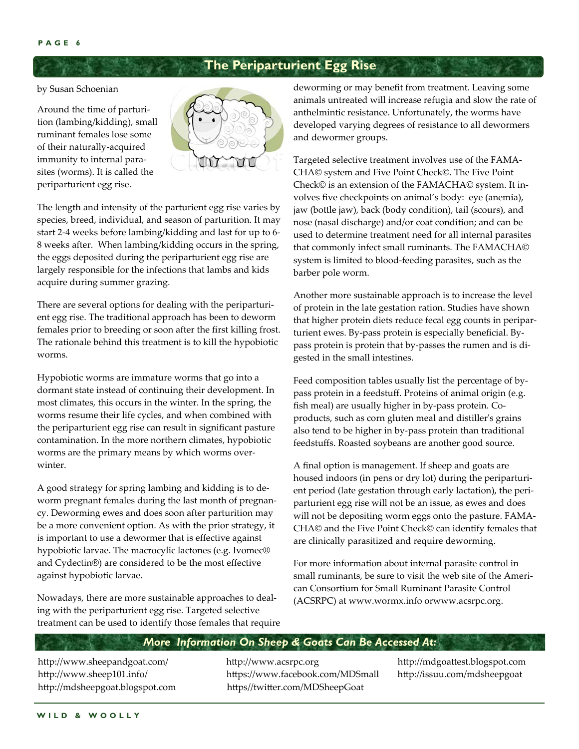### **The Periparturient Egg Rise**

by Susan Schoenian

Around the time of parturi‐ tion (lambing/kidding), small ruminant females lose some of their naturally‐acquired immunity to internal para‐ sites (worms). It is called the periparturient egg rise.



The length and intensity of the parturient egg rise varies by species, breed, individual, and season of parturition. It may start 2‐4 weeks before lambing/kidding and last for up to 6‐ 8 weeks after. When lambing/kidding occurs in the spring, the eggs deposited during the periparturient egg rise are largely responsible for the infections that lambs and kids acquire during summer grazing.

There are several options for dealing with the periparturi‐ ent egg rise. The traditional approach has been to deworm females prior to breeding or soon after the first killing frost. The rationale behind this treatment is to kill the hypobiotic worms.

Hypobiotic worms are immature worms that go into a dormant state instead of continuing their development. In most climates, this occurs in the winter. In the spring, the worms resume their life cycles, and when combined with the periparturient egg rise can result in significant pasture contamination. In the more northern climates, hypobiotic worms are the primary means by which worms overwinter.

A good strategy for spring lambing and kidding is to de‐ worm pregnant females during the last month of pregnan‐ cy. Deworming ewes and does soon after parturition may be a more convenient option. As with the prior strategy, it is important to use a dewormer that is effective against hypobiotic larvae. The macrocylic lactones (e.g. Ivomec® and Cydectin®) are considered to be the most effective against hypobiotic larvae.

Nowadays, there are more sustainable approaches to deal‐ ing with the periparturient egg rise. Targeted selective treatment can be used to identify those females that require deworming or may benefit from treatment. Leaving some animals untreated will increase refugia and slow the rate of anthelmintic resistance. Unfortunately, the worms have developed varying degrees of resistance to all dewormers and dewormer groups.

Targeted selective treatment involves use of the FAMA‐ CHA© system and Five Point Check©. The Five Point Check© is an extension of the FAMACHA© system. It in‐ volves five checkpoints on animal's body: eye (anemia), jaw (bottle jaw), back (body condition), tail (scours), and nose (nasal discharge) and/or coat condition; and can be used to determine treatment need for all internal parasites that commonly infect small ruminants. The FAMACHA© system is limited to blood‐feeding parasites, such as the barber pole worm.

Another more sustainable approach is to increase the level of protein in the late gestation ration. Studies have shown that higher protein diets reduce fecal egg counts in peripar‐ turient ewes. By‐pass protein is especially beneficial. By‐ pass protein is protein that by‐passes the rumen and is di‐ gested in the small intestines.

Feed composition tables usually list the percentage of bypass protein in a feedstuff. Proteins of animal origin (e.g. fish meal) are usually higher in by-pass protein. Coproducts, such as corn gluten meal and distillerʹs grains also tend to be higher in by‐pass protein than traditional feedstuffs. Roasted soybeans are another good source.

A final option is management. If sheep and goats are housed indoors (in pens or dry lot) during the periparturient period (late gestation through early lactation), the peri‐ parturient egg rise will not be an issue, as ewes and does will not be depositing worm eggs onto the pasture. FAMA‐ CHA© and the Five Point Check© can identify females that are clinically parasitized and require deworming.

For more information about internal parasite control in small ruminants, be sure to visit the web site of the American Consortium for Small Ruminant Parasite Control (ACSRPC) at www.wormx.info orwww.acsrpc.org.

### *More Information On Sheep & Goats Can Be Accessed At:*

http://www.sheepandgoat.com/ http://www.acsrpc.org http://mdgoattest.blogspot.com

http://www.sheep101.info/ https://www.facebook.com/MDSmall http://issuu.com/mdsheepgoat http://mdsheepgoat.blogspot.com https//twitter.com/MDSheepGoat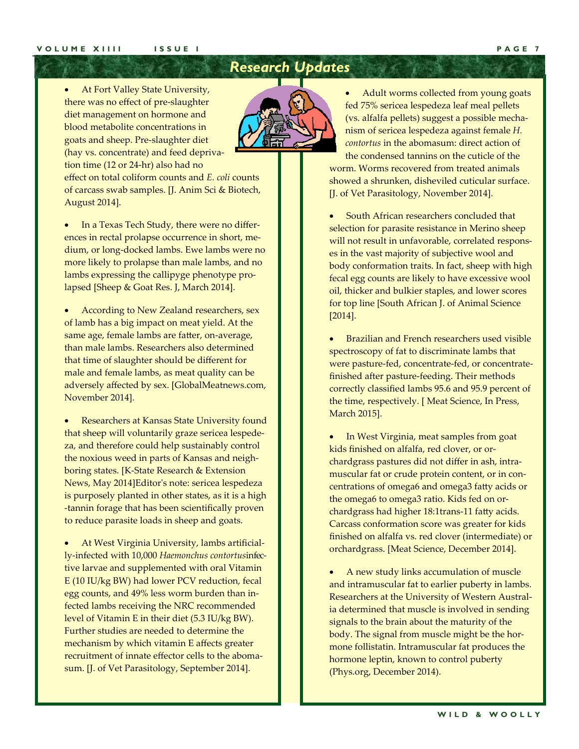### *Research Updates*

 At Fort Valley State University, there was no effect of pre‐slaughter diet management on hormone and blood metabolite concentrations in goats and sheep. Pre‐slaughter diet (hay vs. concentrate) and feed depriva‐ tion time (12 or 24‐hr) also had no effect on total coliform counts and *E. coli* counts of carcass swab samples. [J. Anim Sci & Biotech, August 2014].

 In a Texas Tech Study, there were no differ‐ ences in rectal prolapse occurrence in short, me‐ dium, or long‐docked lambs. Ewe lambs were no more likely to prolapse than male lambs, and no lambs expressing the callipyge phenotype pro‐ lapsed [Sheep & Goat Res. J, March 2014].

 According to New Zealand researchers, sex of lamb has a big impact on meat yield. At the same age, female lambs are fatter, on‐average, than male lambs. Researchers also determined that time of slaughter should be different for male and female lambs, as meat quality can be adversely affected by sex. [GlobalMeatnews.com, November 2014].

 Researchers at Kansas State University found that sheep will voluntarily graze sericea lespede‐ za, and therefore could help sustainably control the noxious weed in parts of Kansas and neigh‐ boring states. [K‐State Research & Extension News, May 2014]Editorʹs note: sericea lespedeza is purposely planted in other states, as it is a high ‐tannin forage that has been scientifically proven to reduce parasite loads in sheep and goats.

 At West Virginia University, lambs artificial‐ ly‐infected with 10,000 *Haemonchus contortus*infec‐ tive larvae and supplemented with oral Vitamin E (10 IU/kg BW) had lower PCV reduction, fecal egg counts, and 49% less worm burden than in‐ fected lambs receiving the NRC recommended level of Vitamin E in their diet (5.3 IU/kg BW). Further studies are needed to determine the mechanism by which vitamin E affects greater recruitment of innate effector cells to the aboma‐ sum. [J. of Vet Parasitology, September 2014].

 Adult worms collected from young goats fed 75% sericea lespedeza leaf meal pellets (vs. alfalfa pellets) suggest a possible mecha‐ nism of sericea lespedeza against female *H. contortus* in the abomasum: direct action of the condensed tannins on the cuticle of the

worm. Worms recovered from treated animals showed a shrunken, disheviled cuticular surface. [J. of Vet Parasitology, November 2014].

 South African researchers concluded that selection for parasite resistance in Merino sheep will not result in unfavorable, correlated responses in the vast majority of subjective wool and body conformation traits. In fact, sheep with high fecal egg counts are likely to have excessive wool oil, thicker and bulkier staples, and lower scores for top line [South African J. of Animal Science [2014].

 Brazilian and French researchers used visible spectroscopy of fat to discriminate lambs that were pasture‐fed, concentrate‐fed, or concentrate‐ finished after pasture‐feeding. Their methods correctly classified lambs 95.6 and 95.9 percent of the time, respectively. [ Meat Science, In Press, March 2015].

 In West Virginia, meat samples from goat kids finished on alfalfa, red clover, or or‐ chardgrass pastures did not differ in ash, intra‐ muscular fat or crude protein content, or in con‐ centrations of omega6 and omega3 fatty acids or the omega6 to omega3 ratio. Kids fed on or‐ chardgrass had higher 18:1trans‐11 fatty acids. Carcass conformation score was greater for kids finished on alfalfa vs. red clover (intermediate) or orchardgrass. [Meat Science, December 2014].

 A new study links accumulation of muscle and intramuscular fat to earlier puberty in lambs. Researchers at the University of Western Austral‐ ia determined that muscle is involved in sending signals to the brain about the maturity of the body. The signal from muscle might be the hor‐ mone follistatin. Intramuscular fat produces the hormone leptin, known to control puberty (Phys.org, December 2014).

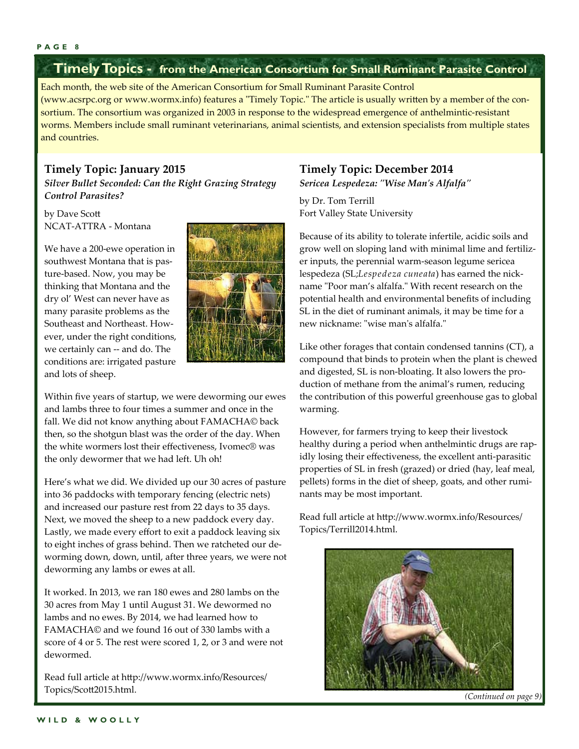### **Timely Topics - from the American Consortium for Small Ruminant Parasite Control**

Each month, the web site of the American Consortium for Small Ruminant Parasite Control (www.acsrpc.org or www.wormx.info) features a "Timely Topic." The article is usually written by a member of the consortium. The consortium was organized in 2003 in response to the widespread emergence of anthelmintic-resistant worms. Members include small ruminant veterinarians, animal scientists, and extension specialists from multiple states and countries.

### **Timely Topic: January 2015**

*Silver Bullet Seconded: Can the Right Grazing Strategy Control Parasites?* 

by Dave Scott NCAT‐ATTRA ‐ Montana

We have a 200‐ewe operation in southwest Montana that is pasture‐based. Now, you may be thinking that Montana and the dry ol' West can never have as many parasite problems as the Southeast and Northeast. How‐ ever, under the right conditions, we certainly can -- and do. The conditions are: irrigated pasture and lots of sheep.



Within five years of startup, we were deworming our ewes and lambs three to four times a summer and once in the fall. We did not know anything about FAMACHA© back then, so the shotgun blast was the order of the day. When the white wormers lost their effectiveness, Ivomec® was the only dewormer that we had left. Uh oh!

Here's what we did. We divided up our 30 acres of pasture into 36 paddocks with temporary fencing (electric nets) and increased our pasture rest from 22 days to 35 days. Next, we moved the sheep to a new paddock every day. Lastly, we made every effort to exit a paddock leaving six to eight inches of grass behind. Then we ratcheted our de‐ worming down, down, until, after three years, we were not deworming any lambs or ewes at all.

It worked. In 2013, we ran 180 ewes and 280 lambs on the 30 acres from May 1 until August 31. We dewormed no lambs and no ewes. By 2014, we had learned how to FAMACHA© and we found 16 out of 330 lambs with a score of 4 or 5. The rest were scored 1, 2, or 3 and were not dewormed.

Read full article at http://www.wormx.info/Resources/ Topics/Scott2015.html.

### **Timely Topic: December 2014**

*Sericea Lespedeza: ʺWise Manʹs Alfalfaʺ*

by Dr. Tom Terrill Fort Valley State University

Because of its ability to tolerate infertile, acidic soils and grow well on sloping land with minimal lime and fertiliz‐ er inputs, the perennial warm‐season legume sericea lespedeza (SL;*Lespedeza cuneata*) has earned the nick‐ name "Poor man's alfalfa." With recent research on the potential health and environmental benefits of including SL in the diet of ruminant animals, it may be time for a new nickname: "wise man's alfalfa."

Like other forages that contain condensed tannins (CT), a compound that binds to protein when the plant is chewed and digested, SL is non‐bloating. It also lowers the pro‐ duction of methane from the animal's rumen, reducing the contribution of this powerful greenhouse gas to global warming.

However, for farmers trying to keep their livestock healthy during a period when anthelmintic drugs are rapidly losing their effectiveness, the excellent anti-parasitic properties of SL in fresh (grazed) or dried (hay, leaf meal, pellets) forms in the diet of sheep, goats, and other ruminants may be most important.

Read full article at http://www.wormx.info/Resources/ Topics/Terrill2014.html.



*(Continued on page 9)*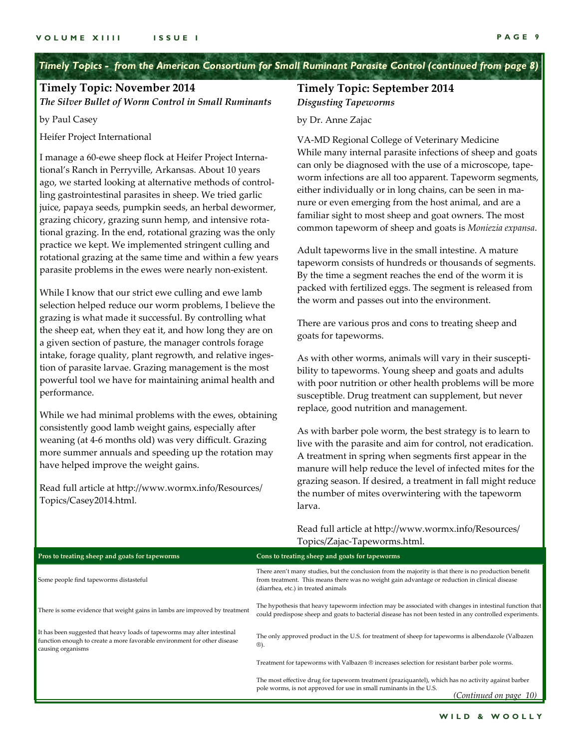*Timely Topics - from the American Consortium for Small Ruminant Parasite Control (continued from page 8)*

### **Timely Topic: November 2014**

*The Silver Bullet of Worm Control in Small Ruminants*

by Paul Casey

Heifer Project International

I manage a 60‐ewe sheep flock at Heifer Project Interna‐ tional's Ranch in Perryville, Arkansas. About 10 years ago, we started looking at alternative methods of control‐ ling gastrointestinal parasites in sheep. We tried garlic juice, papaya seeds, pumpkin seeds, an herbal dewormer, grazing chicory, grazing sunn hemp, and intensive rota‐ tional grazing. In the end, rotational grazing was the only practice we kept. We implemented stringent culling and rotational grazing at the same time and within a few years parasite problems in the ewes were nearly non‐existent.

While I know that our strict ewe culling and ewe lamb selection helped reduce our worm problems, I believe the grazing is what made it successful. By controlling what the sheep eat, when they eat it, and how long they are on a given section of pasture, the manager controls forage intake, forage quality, plant regrowth, and relative ingestion of parasite larvae. Grazing management is the most powerful tool we have for maintaining animal health and performance.

While we had minimal problems with the ewes, obtaining consistently good lamb weight gains, especially after weaning (at 4‐6 months old) was very difficult. Grazing more summer annuals and speeding up the rotation may have helped improve the weight gains.

Read full article at http://www.wormx.info/Resources/ Topics/Casey2014.html.

### **Timely Topic: September 2014** *Disgusting Tapeworms*

by Dr. Anne Zajac

VA‐MD Regional College of Veterinary Medicine While many internal parasite infections of sheep and goats can only be diagnosed with the use of a microscope, tape‐ worm infections are all too apparent. Tapeworm segments, either individually or in long chains, can be seen in ma‐ nure or even emerging from the host animal, and are a familiar sight to most sheep and goat owners. The most common tapeworm of sheep and goats is *Moniezia expansa*.

Adult tapeworms live in the small intestine. A mature tapeworm consists of hundreds or thousands of segments. By the time a segment reaches the end of the worm it is packed with fertilized eggs. The segment is released from the worm and passes out into the environment.

There are various pros and cons to treating sheep and goats for tapeworms.

As with other worms, animals will vary in their suscepti‐ bility to tapeworms. Young sheep and goats and adults with poor nutrition or other health problems will be more susceptible. Drug treatment can supplement, but never replace, good nutrition and management.

As with barber pole worm, the best strategy is to learn to live with the parasite and aim for control, not eradication. A treatment in spring when segments first appear in the manure will help reduce the level of infected mites for the grazing season. If desired, a treatment in fall might reduce the number of mites overwintering with the tapeworm larva.

Read full article at http://www.wormx.info/Resources/ Topics/Zajac‐Tapeworms.html.

| Pros to treating sheep and goats for tapeworms                                                                                                                            | Cons to treating sheep and goats for tapeworms                                                                                                                                                                                                  |  |
|---------------------------------------------------------------------------------------------------------------------------------------------------------------------------|-------------------------------------------------------------------------------------------------------------------------------------------------------------------------------------------------------------------------------------------------|--|
| Some people find tapeworms distasteful                                                                                                                                    | There aren't many studies, but the conclusion from the majority is that there is no production benefit<br>from treatment. This means there was no weight gain advantage or reduction in clinical disease<br>(diarrhea, etc.) in treated animals |  |
| There is some evidence that weight gains in lambs are improved by treatment                                                                                               | The hypothesis that heavy tapeworm infection may be associated with changes in intestinal function that<br>could predispose sheep and goats to bacterial disease has not been tested in any controlled experiments.                             |  |
| It has been suggested that heavy loads of tapeworms may alter intestinal<br>function enough to create a more favorable environment for other disease<br>causing organisms | The only approved product in the U.S. for treatment of sheep for tapeworms is albendazole (Valbazen<br>®).                                                                                                                                      |  |
|                                                                                                                                                                           | Treatment for tapeworms with Valbazen ® increases selection for resistant barber pole worms.                                                                                                                                                    |  |
|                                                                                                                                                                           | The most effective drug for tapeworm treatment (praziquantel), which has no activity against barber<br>pole worms, is not approved for use in small ruminants in the U.S.<br>(Continued on page 10)                                             |  |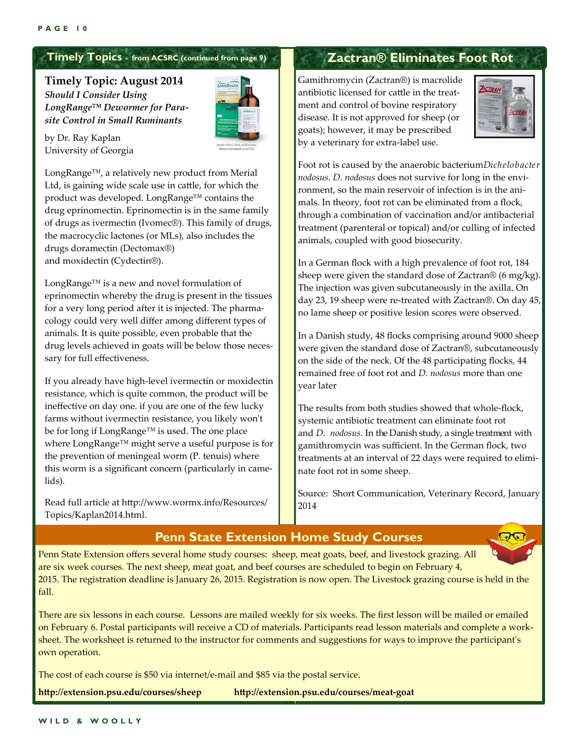### **Timely Topics - from ACSRC (continued from page 9)**

**Timely Topic: August 2014** *Should I Consider Using LongRange™ Dewormer for Parasite Control in Small Ruminants* 



by Dr. Ray Kaplan University of Georgia

LongRange™, a relatively new product from Merial Ltd, is gaining wide scale use in cattle, for which the product was developed. LongRange™ contains the drug eprinomectin. Eprinomectin is in the same family of drugs as ivermectin (Ivomec®). This family of drugs, the macrocyclic lactones (or MLs), also includes the drugs doramectin (Dectomax®) and moxidectin (Cydectin®).

LongRange™ is a new and novel formulation of eprinomectin whereby the drug is present in the tissues for a very long period after it is injected. The pharma‐ cology could very well differ among different types of animals. It is quite possible, even probable that the drug levels achieved in goats will be below those necessary for full effectiveness.

If you already have high‐level ivermectin or moxidectin resistance, which is quite common, the product will be ineffective on day one. if you are one of the few lucky farms without ivermectin resistance, you likely won't be for long if LongRange™ is used. The one place where LongRange™ might serve a useful purpose is for the prevention of meningeal worm (P. tenuis) where this worm is a significant concern (particularly in came‐ lids).

Read full article at http://www.wormx.info/Resources/ Topics/Kaplan2014.html.

### **Zactran® Eliminates Foot Rot**

Gamithromycin (Zactran®) is macrolide antibiotic licensed for cattle in the treat‐ ment and control of bovine respiratory disease. It is not approved for sheep (or goats); however, it may be prescribed by a veterinary for extra‐label use.



Foot rot is caused by the anaerobic bacterium*Dichelobacter nodosus*. *D. nodosus* does not survive for long in the envi‐ ronment, so the main reservoir of infection is in the animals. In theory, foot rot can be eliminated from a flock, through a combination of vaccination and/or antibacterial treatment (parenteral or topical) and/or culling of infected animals, coupled with good biosecurity.

In a German flock with a high prevalence of foot rot, 184 sheep were given the standard dose of Zactran® (6 mg/kg). The injection was given subcutaneously in the axilla. On day 23, 19 sheep were re‐treated with Zactran®. On day 45, no lame sheep or positive lesion scores were observed.

In a Danish study, 48 flocks comprising around 9000 sheep were given the standard dose of Zactran®, subcutaneously on the side of the neck. Of the 48 participating flocks, 44 remained free of foot rot and *D. nodosus* more than one year later

The results from both studies showed that whole‐flock, systemic antibiotic treatment can eliminate foot rot and *D. nodosus*. In the Danish study, a single treatment with gamithromycin was sufficient. In the German flock, two treatments at an interval of 22 days were required to elimi‐ nate foot rot in some sheep.

Source: Short Communication, Veterinary Record, January 2014

### **Penn State Extension Home Study Courses**



Penn State Extension offers several home study courses: sheep, meat goats, beef, and livestock grazing. All are six week courses. The next sheep, meat goat, and beef courses are scheduled to begin on February 4, 2015. The registration deadline is January 26, 2015. Registration is now open. The Livestock grazing course is held in the fall.

There are six lessons in each course. Lessons are mailed weekly for six weeks. The first lesson will be mailed or emailed on February 6. Postal participants will receive a CD of materials. Participants read lesson materials and complete a work‐ sheet. The worksheet is returned to the instructor for comments and suggestions for ways to improve the participant's own operation.

The cost of each course is \$50 via internet/e-mail and \$85 via the postal service.

**http://extension.psu.edu/courses/sheep http://extension.psu.edu/courses/meat-goat**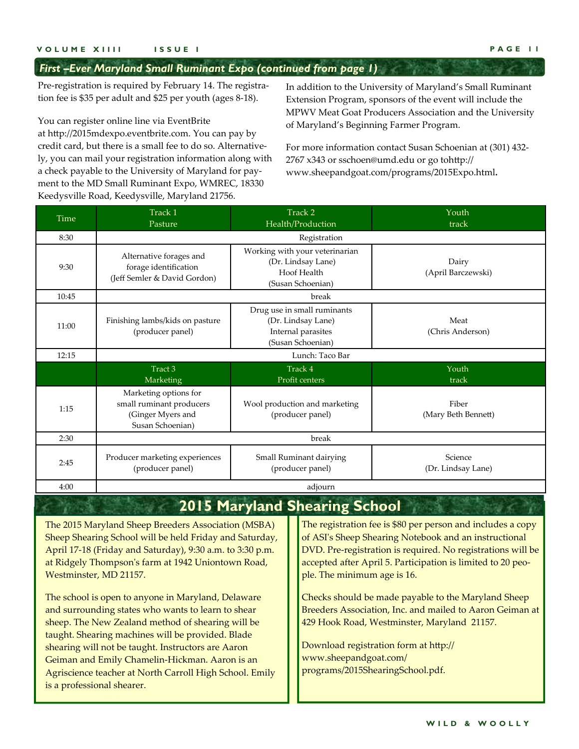### *First –Ever Maryland Small Ruminant Expo (continued from page 1)*

Pre-registration is required by February 14. The registration fee is \$35 per adult and \$25 per youth (ages 8‐18).

You can register online line via EventBrite

at http://2015mdexpo.eventbrite.com. You can pay by credit card, but there is a small fee to do so. Alternatively, you can mail your registration information along with a check payable to the University of Maryland for pay‐ ment to the MD Small Ruminant Expo, WMREC, 18330 Keedysville Road, Keedysville, Maryland 21756.

Geiman and Emily Chamelin‐Hickman. Aaron is an Agriscience teacher at North Carroll High School. Emily

is a professional shearer.

In addition to the University of Maryland's Small Ruminant Extension Program, sponsors of the event will include the MPWV Meat Goat Producers Association and the University of Maryland's Beginning Farmer Program.

For more information contact Susan Schoenian at (301) 432‐ 2767 x343 or sschoen@umd.edu or go tohttp:// www.sheepandgoat.com/programs/2015Expo.html**.** 

| Time                                                                                                                                                                                                                                                                                                                                                                                                                                                                                                                                    | Track 1<br>Pasture                                                                         |                                                                                              | Track 2<br>Health/Production         | Youth<br>track                                                                                                                                                                                                                                                                                                                                                                                                                                                |  |  |
|-----------------------------------------------------------------------------------------------------------------------------------------------------------------------------------------------------------------------------------------------------------------------------------------------------------------------------------------------------------------------------------------------------------------------------------------------------------------------------------------------------------------------------------------|--------------------------------------------------------------------------------------------|----------------------------------------------------------------------------------------------|--------------------------------------|---------------------------------------------------------------------------------------------------------------------------------------------------------------------------------------------------------------------------------------------------------------------------------------------------------------------------------------------------------------------------------------------------------------------------------------------------------------|--|--|
| 8:30                                                                                                                                                                                                                                                                                                                                                                                                                                                                                                                                    | Registration                                                                               |                                                                                              |                                      |                                                                                                                                                                                                                                                                                                                                                                                                                                                               |  |  |
| 9:30                                                                                                                                                                                                                                                                                                                                                                                                                                                                                                                                    | Alternative forages and<br>forage identification<br>(Jeff Semler & David Gordon)           | Working with your veterinarian<br>(Dr. Lindsay Lane)<br>Hoof Health<br>(Susan Schoenian)     |                                      | Dairy<br>(April Barczewski)                                                                                                                                                                                                                                                                                                                                                                                                                                   |  |  |
| 10:45                                                                                                                                                                                                                                                                                                                                                                                                                                                                                                                                   |                                                                                            |                                                                                              | break                                |                                                                                                                                                                                                                                                                                                                                                                                                                                                               |  |  |
| 11:00                                                                                                                                                                                                                                                                                                                                                                                                                                                                                                                                   | Finishing lambs/kids on pasture<br>(producer panel)                                        | Drug use in small ruminants<br>(Dr. Lindsay Lane)<br>Internal parasites<br>(Susan Schoenian) |                                      | Meat<br>(Chris Anderson)                                                                                                                                                                                                                                                                                                                                                                                                                                      |  |  |
| 12:15                                                                                                                                                                                                                                                                                                                                                                                                                                                                                                                                   |                                                                                            |                                                                                              | Lunch: Taco Bar                      |                                                                                                                                                                                                                                                                                                                                                                                                                                                               |  |  |
|                                                                                                                                                                                                                                                                                                                                                                                                                                                                                                                                         | Tract 3<br>Marketing                                                                       | Track 4<br>Profit centers                                                                    |                                      | Youth<br>track                                                                                                                                                                                                                                                                                                                                                                                                                                                |  |  |
| 1:15                                                                                                                                                                                                                                                                                                                                                                                                                                                                                                                                    | Marketing options for<br>small ruminant producers<br>(Ginger Myers and<br>Susan Schoenian) | Wool production and marketing<br>(producer panel)                                            |                                      | Fiber<br>(Mary Beth Bennett)                                                                                                                                                                                                                                                                                                                                                                                                                                  |  |  |
| 2:30                                                                                                                                                                                                                                                                                                                                                                                                                                                                                                                                    |                                                                                            |                                                                                              | break                                |                                                                                                                                                                                                                                                                                                                                                                                                                                                               |  |  |
| 2:45                                                                                                                                                                                                                                                                                                                                                                                                                                                                                                                                    | Producer marketing experiences<br>(producer panel)                                         | Small Ruminant dairying<br>(producer panel)                                                  |                                      | Science<br>(Dr. Lindsay Lane)                                                                                                                                                                                                                                                                                                                                                                                                                                 |  |  |
| 4:00                                                                                                                                                                                                                                                                                                                                                                                                                                                                                                                                    |                                                                                            |                                                                                              | adjourn                              |                                                                                                                                                                                                                                                                                                                                                                                                                                                               |  |  |
|                                                                                                                                                                                                                                                                                                                                                                                                                                                                                                                                         |                                                                                            |                                                                                              | <b>2015 Maryland Shearing School</b> |                                                                                                                                                                                                                                                                                                                                                                                                                                                               |  |  |
| The 2015 Maryland Sheep Breeders Association (MSBA)<br>Sheep Shearing School will be held Friday and Saturday,<br>April 17-18 (Friday and Saturday), 9:30 a.m. to 3:30 p.m.<br>at Ridgely Thompson's farm at 1942 Uniontown Road,<br>Westminster, MD 21157.<br>The school is open to anyone in Maryland, Delaware<br>and surrounding states who wants to learn to shear<br>sheep. The New Zealand method of shearing will be<br>taught. Shearing machines will be provided. Blade<br>shearing will not be taught. Instructors are Aaron |                                                                                            |                                                                                              | ple. The minimum age is 16.          | The registration fee is \$80 per person and includes a copy<br>of ASI's Sheep Shearing Notebook and an instructional<br>DVD. Pre-registration is required. No registrations will be<br>accepted after April 5. Participation is limited to 20 peo-<br>Checks should be made payable to the Maryland Sheep<br>Breeders Association, Inc. and mailed to Aaron Geiman at<br>429 Hook Road, Westminster, Maryland 21157.<br>Download registration form at http:// |  |  |

www.sheepandgoat.com/

programs/2015ShearingSchool.pdf.